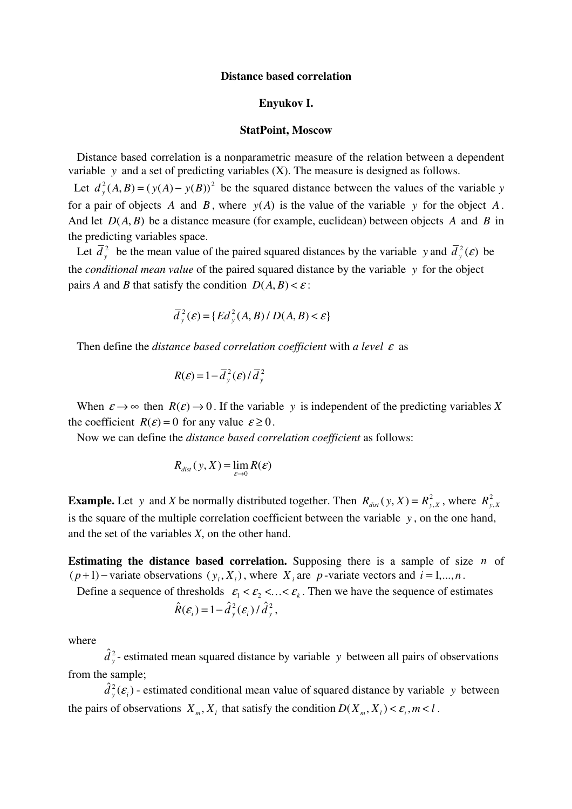## Distance based correlation

## Enyukov I.

## StatPoint, Moscow

 Distance based correlation is a nonparametric measure of the relation between a dependent variable y and a set of predicting variables (X). The measure is designed as follows.

Let  $d_y^2(A, B) = (y(A) - y(B))^2$  be the squared distance between the values of the variable y for a pair of objects A and B, where  $y(A)$  is the value of the variable y for the object A. And let  $D(A, B)$  be a distance measure (for example, euclidean) between objects A and B in the predicting variables space.

Let  $\overline{d}_y^2$  be the mean value of the paired squared distances by the variable y and  $\overline{d}_y^2(\varepsilon)$  be the *conditional mean value* of the paired squared distance by the variable  $y$  for the object pairs A and B that satisfy the condition  $D(A, B) < \varepsilon$ :

$$
\overline{d}_{y}^{2}(\mathcal{E}) = \{ Ed_{y}^{2}(A, B) / D(A, B) < \mathcal{E} \}
$$

Then define the distance based correlation coefficient with a level  $\varepsilon$  as

$$
R(\varepsilon) = 1 - \overline{d}_{y}^{2}(\varepsilon) / \overline{d}_{y}^{2}
$$

When  $\varepsilon \to \infty$  then  $R(\varepsilon) \to 0$ . If the variable y is independent of the predicting variables X the coefficient  $R(\varepsilon) = 0$  for any value  $\varepsilon \ge 0$ .

Now we can define the distance based correlation coefficient as follows:

$$
R_{dist}(y, X) = \lim_{\varepsilon \to 0} R(\varepsilon)
$$

**Example.** Let y and X be normally distributed together. Then  $R_{dist}(y, X) = R_{y, X}^2$ , where  $R_{y, X}^2$ is the square of the multiple correlation coefficient between the variable  $y$ , on the one hand, and the set of the variables X, on the other hand.

**Estimating the distance based correlation.** Supposing there is a sample of size  $n$  of  $(p+1)$  – variate observations  $(y_i, X_i)$ , where  $X_i$  are p-variate vectors and  $i = 1,...,n$ .

Define a sequence of thresholds  $\varepsilon_1 < \varepsilon_2 < ... < \varepsilon_k$ . Then we have the sequence of estimates

$$
\hat{R}(\varepsilon_i) = 1 - \hat{d}_y^2(\varepsilon_i) / \hat{d}_y^2,
$$

where

 $\hat{d}_{y}^{2}$ - estimated mean squared distance by variable y between all pairs of observations from the sample;

 $\hat{d}_{y}^{2}(\varepsilon_{i})$  - estimated conditional mean value of squared distance by variable y between the pairs of observations  $X_m, X_l$  that satisfy the condition  $D(X_m, X_l) < \varepsilon_i, m < l$ .